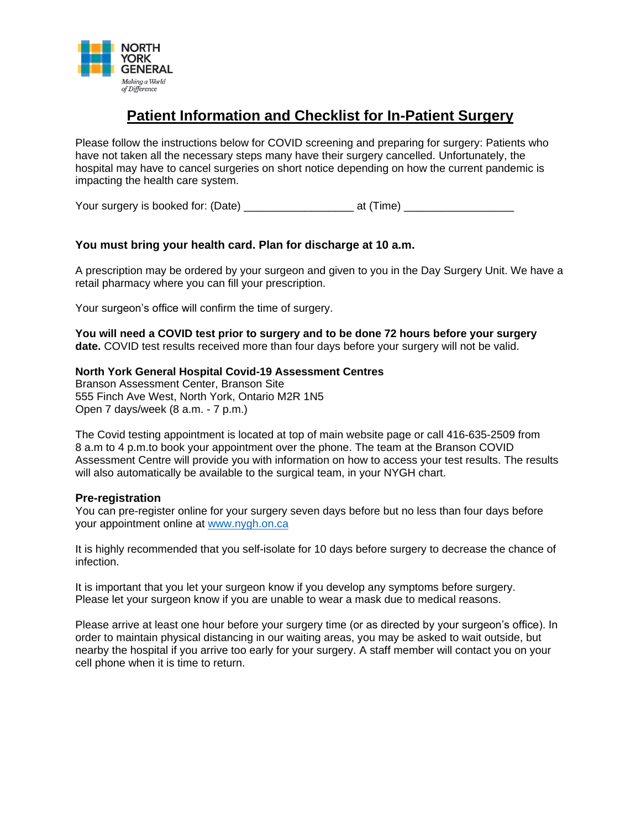

# **Patient Information and Checklist for In-Patient Surgery**

Please follow the instructions below for COVID screening and preparing for surgery: Patients who have not taken all the necessary steps many have their surgery cancelled. Unfortunately, the hospital may have to cancel surgeries on short notice depending on how the current pandemic is impacting the health care system.

Your surgery is booked for: (Date) \_\_\_\_\_\_\_\_\_\_\_\_\_\_\_\_\_\_ at (Time) \_\_\_\_\_\_\_\_\_\_\_\_\_\_\_\_\_\_

## **You must bring your health card. Plan for discharge at 10 a.m.**

A prescription may be ordered by your surgeon and given to you in the Day Surgery Unit. We have a retail pharmacy where you can fill your prescription.

Your surgeon's office will confirm the time of surgery.

**You will need a COVID test prior to surgery and to be done 72 hours before your surgery date.** COVID test results received more than four days before your surgery will not be valid.

#### **North York General Hospital Covid-19 Assessment Centres**

Branson Assessment Center, Branson Site 555 Finch Ave West, North York, Ontario M2R 1N5 Open 7 days/week (8 a.m. - 7 p.m.)

The Covid testing appointment is located at top of main website page or call 416-635-2509 from 8 a.m to 4 p.m.to book your appointment over the phone. The team at the Branson COVID Assessment Centre will provide you with information on how to access your test results. The results will also automatically be available to the surgical team, in your NYGH chart.

#### **Pre-registration**

You can pre-register online for your surgery seven days before but no less than four days before your appointment online at [www.nygh.on.ca](http://www.nygh.on.ca/)

It is highly recommended that you self-isolate for 10 days before surgery to decrease the chance of infection.

It is important that you let your surgeon know if you develop any symptoms before surgery. Please let your surgeon know if you are unable to wear a mask due to medical reasons.

Please arrive at least one hour before your surgery time (or as directed by your surgeon's office). In order to maintain physical distancing in our waiting areas, you may be asked to wait outside, but nearby the hospital if you arrive too early for your surgery. A staff member will contact you on your cell phone when it is time to return.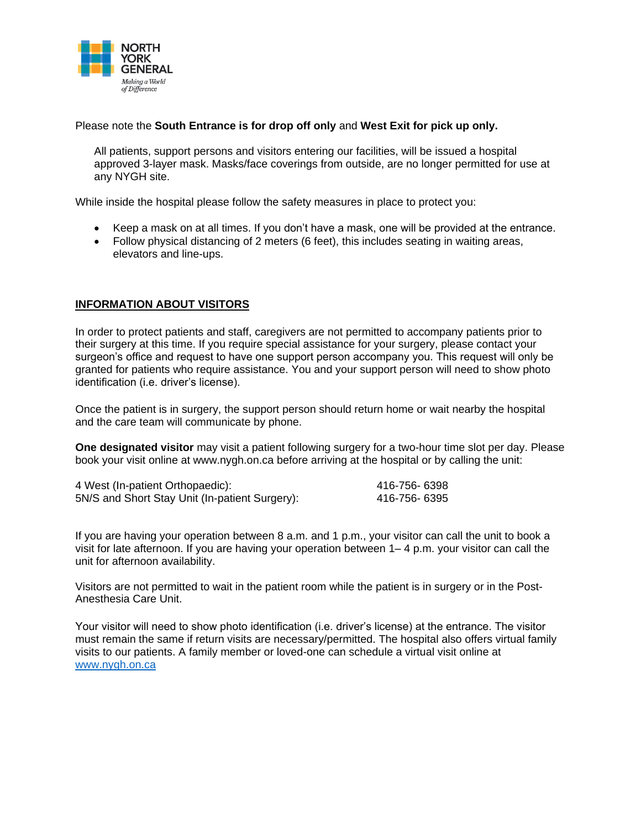

Please note the **South Entrance is for drop off only** and **West Exit for pick up only.** 

All patients, support persons and visitors entering our facilities, will be issued a hospital approved 3-layer mask. Masks/face coverings from outside, are no longer permitted for use at any NYGH site.

While inside the hospital please follow the safety measures in place to protect you:

- Keep a mask on at all times. If you don't have a mask, one will be provided at the entrance.
- Follow physical distancing of 2 meters (6 feet), this includes seating in waiting areas, elevators and line-ups.

#### **INFORMATION ABOUT VISITORS**

In order to protect patients and staff, caregivers are not permitted to accompany patients prior to their surgery at this time. If you require special assistance for your surgery, please contact your surgeon's office and request to have one support person accompany you. This request will only be granted for patients who require assistance. You and your support person will need to show photo identification (i.e. driver's license).

Once the patient is in surgery, the support person should return home or wait nearby the hospital and the care team will communicate by phone.

**One designated visitor** may visit a patient following surgery for a two-hour time slot per day. Please book your visit online at www.nygh.on.ca before arriving at the hospital or by calling the unit:

| 4 West (In-patient Orthopaedic):               | 416-756- 6398 |
|------------------------------------------------|---------------|
| 5N/S and Short Stay Unit (In-patient Surgery): | 416-756- 6395 |

If you are having your operation between 8 a.m. and 1 p.m., your visitor can call the unit to book a visit for late afternoon. If you are having your operation between 1– 4 p.m. your visitor can call the unit for afternoon availability.

Visitors are not permitted to wait in the patient room while the patient is in surgery or in the Post-Anesthesia Care Unit.

Your visitor will need to show photo identification (i.e. driver's license) at the entrance. The visitor must remain the same if return visits are necessary/permitted. The hospital also offers virtual family visits to our patients. A family member or loved-one can schedule a virtual visit online at [www.nygh.on.ca](http://www.nygh.on.ca/)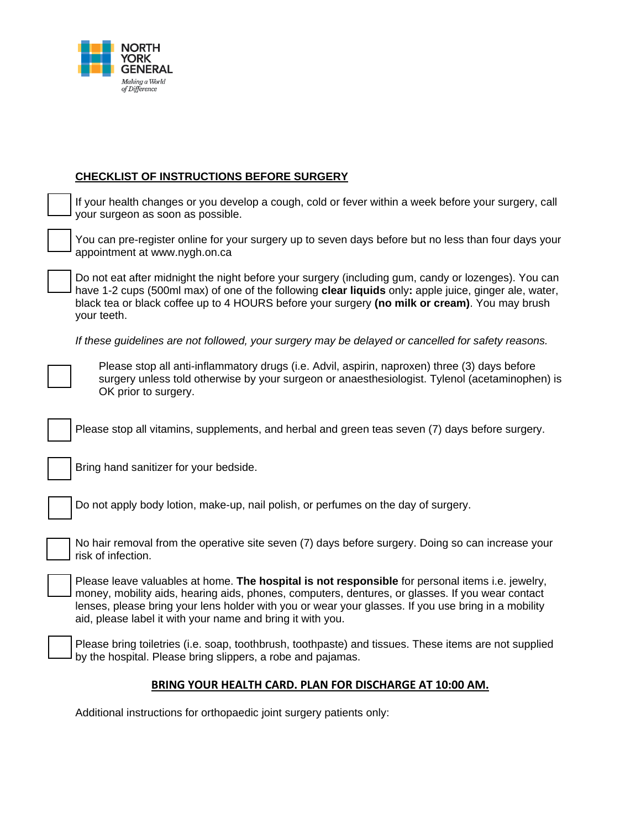

## **CHECKLIST OF INSTRUCTIONS BEFORE SURGERY**

| If your health changes or you develop a cough, cold or fever within a week before your surgery, call<br>your surgeon as soon as possible.                                                                                                                                                                                                                                 |
|---------------------------------------------------------------------------------------------------------------------------------------------------------------------------------------------------------------------------------------------------------------------------------------------------------------------------------------------------------------------------|
| You can pre-register online for your surgery up to seven days before but no less than four days your<br>appointment at www.nygh.on.ca                                                                                                                                                                                                                                     |
| Do not eat after midnight the night before your surgery (including gum, candy or lozenges). You can<br>have 1-2 cups (500ml max) of one of the following clear liquids only: apple juice, ginger ale, water,<br>black tea or black coffee up to 4 HOURS before your surgery (no milk or cream). You may brush<br>your teeth.                                              |
| If these guidelines are not followed, your surgery may be delayed or cancelled for safety reasons.                                                                                                                                                                                                                                                                        |
| Please stop all anti-inflammatory drugs (i.e. Advil, aspirin, naproxen) three (3) days before<br>surgery unless told otherwise by your surgeon or anaesthesiologist. Tylenol (acetaminophen) is<br>OK prior to surgery.                                                                                                                                                   |
| Please stop all vitamins, supplements, and herbal and green teas seven (7) days before surgery.                                                                                                                                                                                                                                                                           |
| Bring hand sanitizer for your bedside.                                                                                                                                                                                                                                                                                                                                    |
| Do not apply body lotion, make-up, nail polish, or perfumes on the day of surgery.                                                                                                                                                                                                                                                                                        |
| No hair removal from the operative site seven (7) days before surgery. Doing so can increase your<br>risk of infection.                                                                                                                                                                                                                                                   |
| Please leave valuables at home. The hospital is not responsible for personal items i.e. jewelry,<br>money, mobility aids, hearing aids, phones, computers, dentures, or glasses. If you wear contact<br>lenses, please bring your lens holder with you or wear your glasses. If you use bring in a mobility<br>aid, please label it with your name and bring it with you. |
| Please bring toiletries (i.e. soap, toothbrush, toothpaste) and tissues. These items are not supplied<br>by the hospital. Please bring slippers, a robe and pajamas.                                                                                                                                                                                                      |

#### **BRING YOUR HEALTH CARD. PLAN FOR DISCHARGE AT 10:00 AM.**

Additional instructions for orthopaedic joint surgery patients only: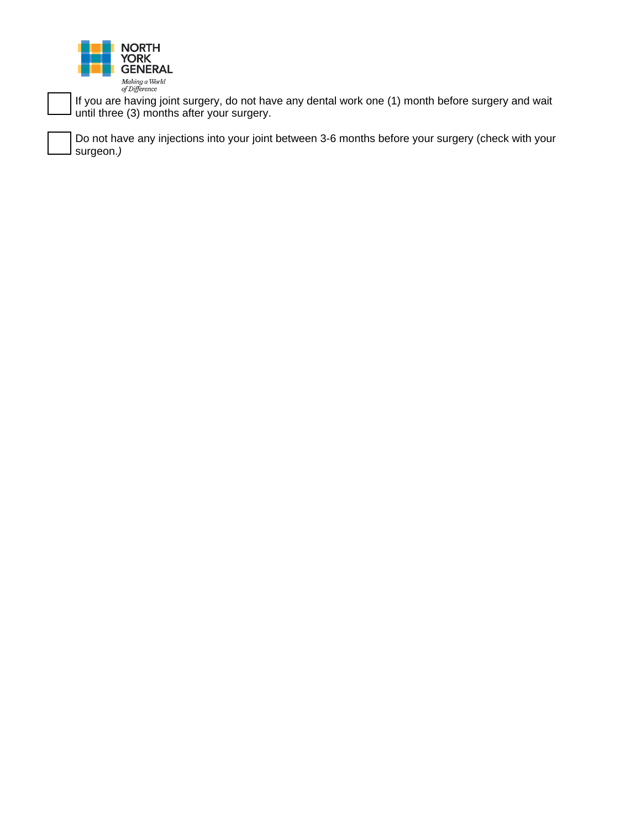

If you are having joint surgery, do not have any dental work one (1) month before surgery and wait until three (3) months after your surgery.

Do not have any injections into your joint between 3-6 months before your surgery (check with your surgeon.*)*